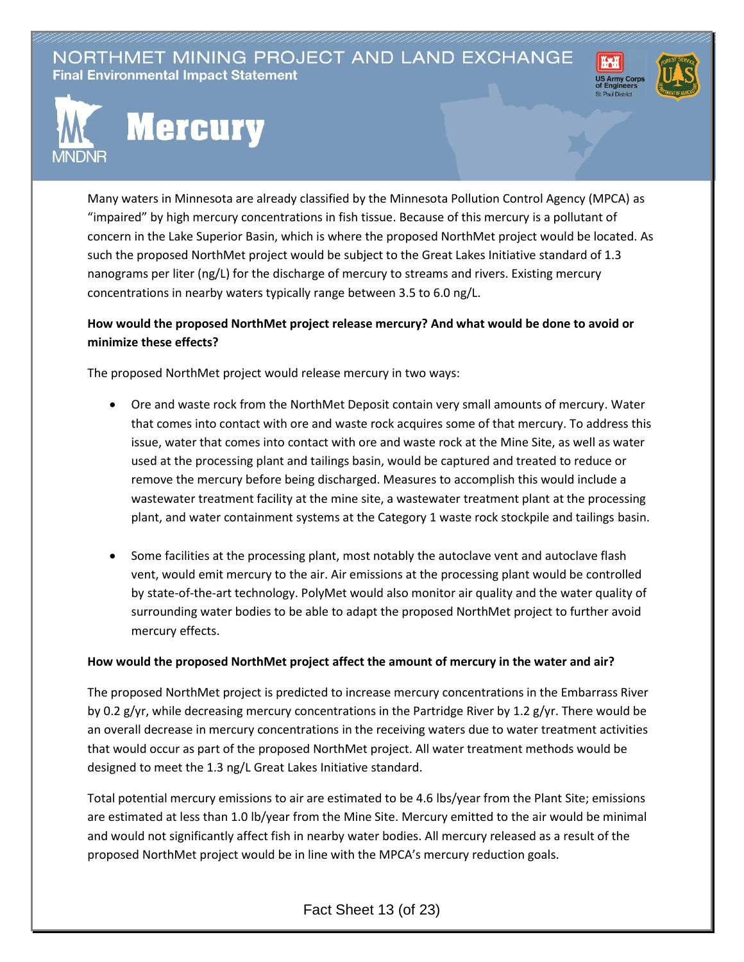NORTHMET MINING PROJECT AND LAND EXCHANGE **Final Environmental Impact Statement** 





## **Mercury**

Many waters in Minnesota are already classified by the Minnesota Pollution Control Agency (MPCA) as "impaired" by high mercury concentrations in fish tissue. Because of this mercury is a pollutant of concern in the Lake Superior Basin, which is where the proposed NorthMet project would be located. As such the proposed NorthMet project would be subject to the Great Lakes Initiative standard of 1.3 nanograms per liter (ng/L) for the discharge of mercury to streams and rivers. Existing mercury concentrations in nearby waters typically range between 3.5 to 6.0 ng/L.

## **How would the proposed NorthMet project release mercury? And what would be done to avoid or minimize these effects?**

The proposed NorthMet project would release mercury in two ways:

- Ore and waste rock from the NorthMet Deposit contain very small amounts of mercury. Water that comes into contact with ore and waste rock acquires some of that mercury. To address this issue, water that comes into contact with ore and waste rock at the Mine Site, as well as water used at the processing plant and tailings basin, would be captured and treated to reduce or remove the mercury before being discharged. Measures to accomplish this would include a wastewater treatment facility at the mine site, a wastewater treatment plant at the processing plant, and water containment systems at the Category 1 waste rock stockpile and tailings basin.
- Some facilities at the processing plant, most notably the autoclave vent and autoclave flash vent, would emit mercury to the air. Air emissions at the processing plant would be controlled by state-of-the-art technology. PolyMet would also monitor air quality and the water quality of surrounding water bodies to be able to adapt the proposed NorthMet project to further avoid mercury effects.

## **How would the proposed NorthMet project affect the amount of mercury in the water and air?**

The proposed NorthMet project is predicted to increase mercury concentrations in the Embarrass River by 0.2 g/yr, while decreasing mercury concentrations in the Partridge River by 1.2 g/yr. There would be an overall decrease in mercury concentrations in the receiving waters due to water treatment activities that would occur as part of the proposed NorthMet project. All water treatment methods would be designed to meet the 1.3 ng/L Great Lakes Initiative standard.

Total potential mercury emissions to air are estimated to be 4.6 lbs/year from the Plant Site; emissions are estimated at less than 1.0 lb/year from the Mine Site. Mercury emitted to the air would be minimal and would not significantly affect fish in nearby water bodies. All mercury released as a result of the proposed NorthMet project would be in line with the MPCA's mercury reduction goals.